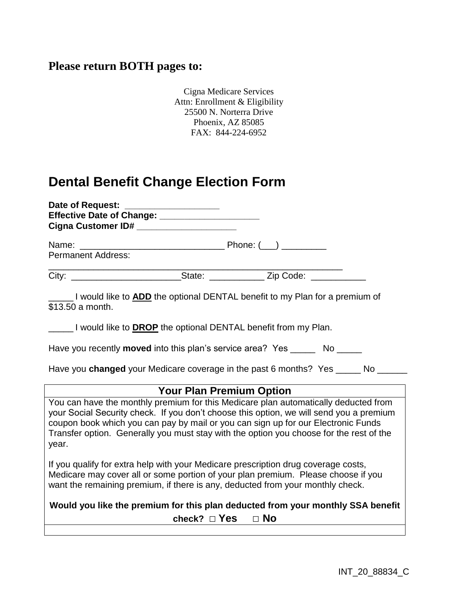## **Please return BOTH pages to:**

Cigna Medicare Services Attn: Enrollment & Eligibility 25500 N. Norterra Drive Phoenix, AZ 85085 FAX: 844-224-6952

## **Dental Benefit Change Election Form**

| Date of Request: <u>_____________________</u><br>Cigna Customer ID# ___________________                                                                                                                                                                                                                                                                                 |  |  |
|-------------------------------------------------------------------------------------------------------------------------------------------------------------------------------------------------------------------------------------------------------------------------------------------------------------------------------------------------------------------------|--|--|
| <b>Permanent Address:</b>                                                                                                                                                                                                                                                                                                                                               |  |  |
| City: ________________________________State: ________________Zip Code: __________                                                                                                                                                                                                                                                                                       |  |  |
| I would like to ADD the optional DENTAL benefit to my Plan for a premium of<br>\$13.50 a month.                                                                                                                                                                                                                                                                         |  |  |
| _____I would like to <b>DROP</b> the optional DENTAL benefit from my Plan.                                                                                                                                                                                                                                                                                              |  |  |
| Have you recently <b>moved</b> into this plan's service area? Yes No ____                                                                                                                                                                                                                                                                                               |  |  |
| Have you changed your Medicare coverage in the past 6 months? Yes ______ No ____                                                                                                                                                                                                                                                                                        |  |  |
| <b>Your Plan Premium Option</b>                                                                                                                                                                                                                                                                                                                                         |  |  |
| You can have the monthly premium for this Medicare plan automatically deducted from<br>your Social Security check. If you don't choose this option, we will send you a premium<br>coupon book which you can pay by mail or you can sign up for our Electronic Funds<br>Transfer option. Generally you must stay with the option you choose for the rest of the<br>year. |  |  |
| If you qualify for extra help with your Medicare prescription drug coverage costs,<br>Medicare may cover all or some portion of your plan premium. Please choose if you<br>want the remaining premium, if there is any, deducted from your monthly check.                                                                                                               |  |  |
| Would you like the premium for this plan deducted from your monthly SSA benefit<br>check? $\Box$ Yes $\Box$ No                                                                                                                                                                                                                                                          |  |  |
|                                                                                                                                                                                                                                                                                                                                                                         |  |  |